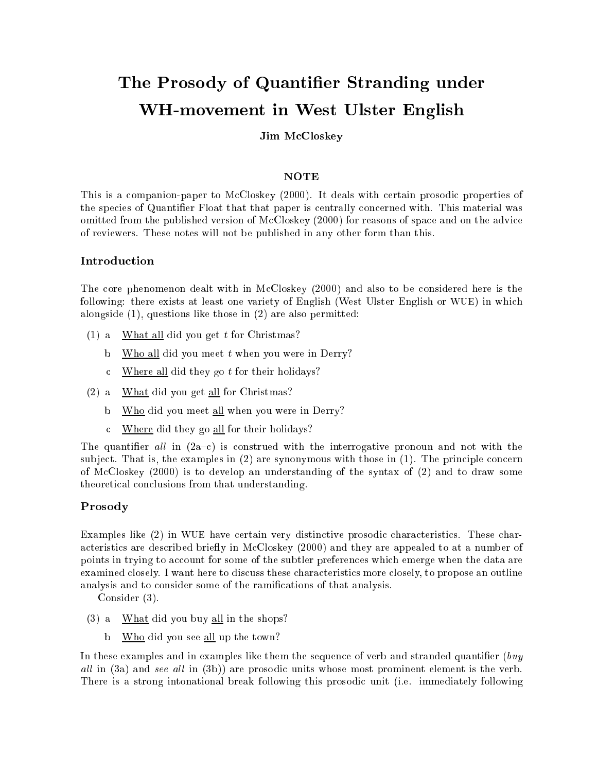# The Prosody of Quantier Stranding under WH-movement in West Ulster English

# Jim M
Closkey

# NOTE

This is a ompanion-paper to M
Closkey (2000). It deals with ertain prosodi properties of the species of Quantifier Float that that paper is centrally concerned with. This material was omitted from the published version of McCloskey (2000) for reasons of space and on the advice of reviewers. These notes will not be published in any other form than this.

The core phenomenon dealt with in McCloskey (2000) and also to be considered here is the following: there exists at least one variety of English (West Ulster English or WUE) in which alongside (1), questions like those in (2) are also permitted:

- (1) a. What all did you get t for Christmas?
	- b. Who all did you meet t when you were in Derry?
	- c Where all did they go  $t$  for their holidays?
- (2) a. What did you get all for Christmas?
	- b. Who did you meet all when you were in Derry?
	- . Where did they go all for their holidays?

The quantifier all in  $(2a-c)$  is construed with the interrogative pronoun and not with the subject. That is, the examples in  $(2)$  are synonymous with those in  $(1)$ . The principle concern of M
Closkey (2000) is to develop an understanding of the syntax of (2) and to draw some theoreti
al on
lusions from that understanding.

# Prosody

Examples like (2) in WUE have certain very distinctive prosodic characteristics. These characteristics are described briefly in McCloskey (2000) and they are appealed to at a number of points in trying to account for some of the subtler preferences which emerge when the data are examined closely. I want here to discuss these characteristics more closely, to propose an outline analysis and to consider some of the ramifications of that analysis.

Consider (3).

- (3) a. What did you buy all in the shops?
	- b. Who did you see all up the town?

In these examples and in examples like them the sequence of verb and stranded quantifier  $\ell$ all in (300) and see all in the (3b)) are proson and indicate most prominent element is the verb. There is a strong intonational break following this prosodic unit (i.e. immediately following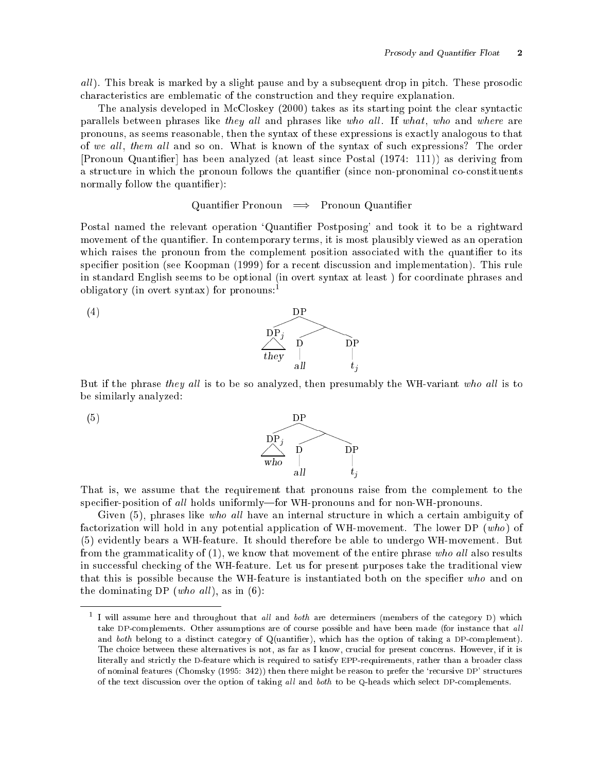al l <del>I is b</del>e a subsequent by a slight palmer and by a subsequent drop in pitcher subsequent drop in pitcher and hara
teristi
s are emblemati of the onstru
tion and they require explanation.

The analysis developed in McCloskey (2000) takes as its starting point the clear syntactic parallels between phrases like they all and phrases like who all. If what, who and where are pronouns, as seems reasonable, then the syntax of these expressions is exa
tly analogous to that of we all, them all and so on. What is known of the syntax of such expressions? The order [Pronoun Quantifier] has been analyzed (at least since Postal (1974: 111)) as deriving from a structure in which the pronoun follows the quantifier (since non-pronominal co-constituents normally follow the quantifier):

### Quantifier Pronoun  $\implies$  Pronoun Quantifier

Postal named the relevant operation 'Quantifier Postposing' and took it to be a rightward movement of the quantifier. In contemporary terms, it is most plausibly viewed as an operation which raises the pronoun from the complement position associated with the quantifier to its specifier position (see Koopman (1999) for a recent discussion and implementation). This rule in standard English seems to be optional (in overt syntax at least) for coordinate phrases and obligatory (in overt syntax) for pronouns:





But if the phrase *they all* is to be so analyzed, then presumably the WH-variant who all is to be similarly analyzed:



That is, we assume that the requirement that pronouns raise from the complement to the specifier-position of all holds uniformly—for WH-pronouns and for non-WH-pronouns.

Given  $(5)$ , phrases like who all have an internal structure in which a certain ambiguity of factorization will hold in any potential application of WH-movement. The lower DP (who) of (5) evidently bears a WH-feature. It should therefore be able to undergo WH-movement. But from the grammaticality of  $(1)$ , we know that movement of the entire phrase who all also results in successful checking of the WH-feature. Let us for present purposes take the traditional view that this is possible because the WH-feature is instantiated both on the specifier who and on the dominating DP (who all), as in  $(6)$ :

 $^\circ$  I will assume here and throughout that *all* and *ooth* are determiners (members of the category D) which take DP-complements. Other assumptions are of course possible and have been made (for instance that all and both belong to a distinct category of Q(uantifier), which has the option of taking a DP-complement). The choice between these alternatives is not, as far as I know, crucial for present concerns. However, if it is literally and strictly the D-feature which is required to satisfy EPP-requirements, rather than a broader class of nominal features (Chomsky (1995: 342)) then there might be reason to prefer the 'recursive DP' structures of the text discussion over the option of taking all and both to be Q-heads which select DP-complements.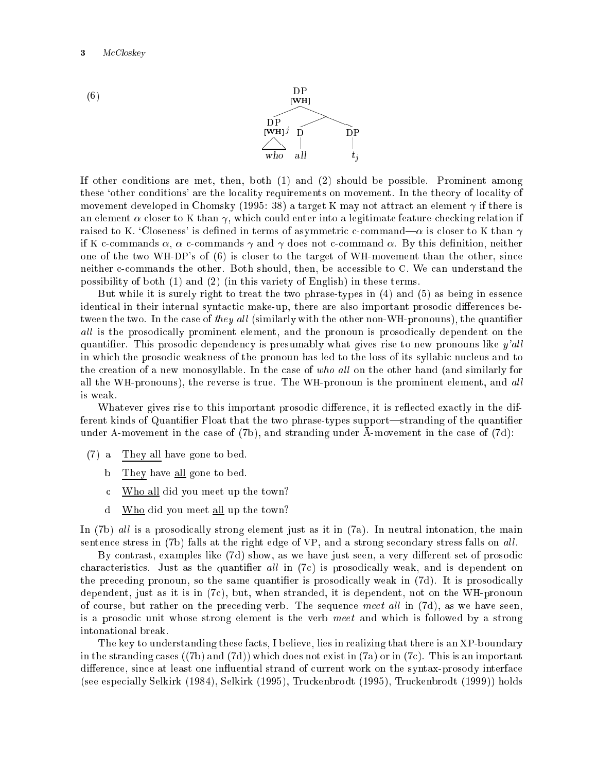



If other onditions are met, then, both (1) and (2) should be possible. Prominent among these 'other conditions' are the locality requirements on movement. In the theory of locality of movement developed in Chomsky (1995: 38) a target K may not attract an element  $\gamma$  if there is an element  $\alpha$  closer to K than  $\gamma$ , which could enter into a legitimate feature-checking relation if raised to K. 'Closeness' is defined in terms of asymmetric c-command— $\alpha$  is closer to K than  $\gamma$ if K c-commands  $\alpha$ ,  $\alpha$  c-commands  $\gamma$  and  $\gamma$  does not c-command  $\alpha$ . By this definition, neither one of the two WH-DP's of (6) is closer to the target of WH-movement than the other, since neither c-commands the other. Both should, then, be accessible to C. We can understand the possibility of both (1) and (2) (in this variety of English) in these terms.

But while it is surely right to treat the two phrase-types in (4) and (5) as being in essen
e identical in their internal syntactic make-up, there are also important prosodic differences between the two. In the case of *they all* (similarly with the other non-WH-pronouns), the quantifier ally all later prosources prosecutions is the the production of productions, and the the the the problem on the quantifier. This prosodic dependency is presumably what gives rise to new pronouns like  $y'all$ in which the prosodic weakness of the pronoun has led to the loss of its syllabic nucleus and to the creation of a new monosyllable. In the case of who all on the other hand (and similarly for all the WH-pronouns), the reverse is true. The WH-pronoun is the prominent element, and all is weak.

Whatever gives rise to this important prosodic difference, it is reflected exactly in the different kinds of Quantifier Float that the two phrase-types support—stranding of the quantifier under A-movement in the case of  $(7b)$ , and stranding under A-movement in the case of  $(7d)$ :

- (7) a. They all have gone to bed.
	- b. They have all gone to bed.
	- . Who all did you meet up the town?
	- d. Who did you meet all up the town?

In (7b) all is a prosodically strong element just as it in (7a). In neutral intonation, the main sentence stress in (7b) falls at the right edge of VP, and a strong secondary stress falls on all.

By contrast, examples like (7d) show, as we have just seen, a very different set of prosodic characteristics. Just as the quantifier all in (7c) is prosodically weak, and is dependent on the preceding pronoun, so the same quantifier is prosodically weak in (7d). It is prosodically dependent, just as it is in (7
), but, when stranded, it is dependent, not on the WH-pronoun of course, but rather on the preceding verb. The sequence meet all in  $(7d)$ , as we have seen, is a prosodic unit whose strong element is the verb meet and which is followed by a strong intonational break.

The key to understanding these facts, I believe, lies in realizing that there is an XP-boundary in the stranding cases  $((7b)$  and  $(7d)$ ) which does not exist in  $(7a)$  or in  $(7c)$ . This is an important difference, since at least one influential strand of current work on the syntax-prosody interface (see espe
ially Selkirk (1984), Selkirk (1995), Tru
kenbrodt (1995), Tru
kenbrodt (1999)) holds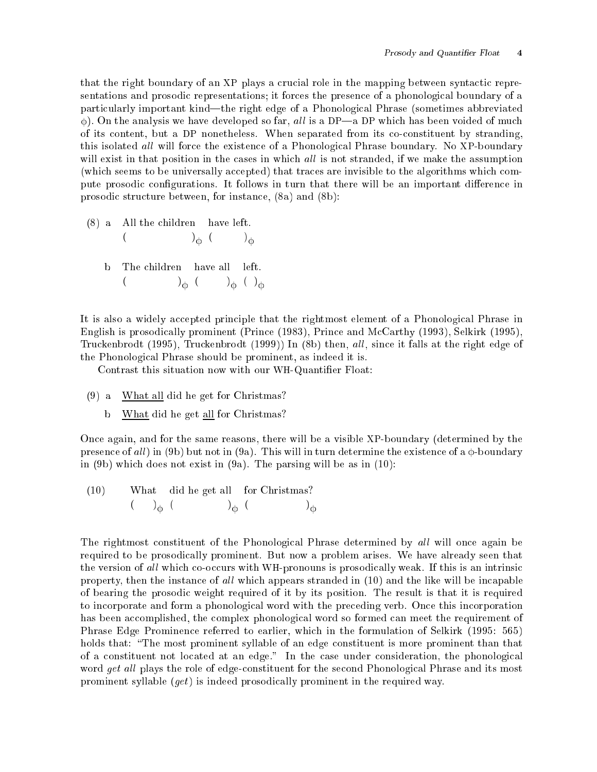that the right boundary of an XP plays a crucial role in the mapping between syntactic representations and prosodic representations; it forces the presence of a phonological boundary of a particularly important kind—the right edge of a Phonological Phrase (sometimes abbreviated  $\phi$ ). On the analysis we have developed so far, all is a DP—a DP which has been voided of much of its ontent, but a DP nonetheless. When separated from its oonstituent by stranding, this isolated *all* will force the existence of a Phonological Phrase boundary. No XP-boundary will exist in that position in the cases in which all is not stranded, if we make the assumption (which seems to be universally accepted) that traces are invisible to the algorithms which compute prosodic configurations. It follows in turn that there will be an important difference in prosodi stru
ture between, for instan
e, (8a) and (8b):

(8) a. All the hildren have left.  $\mathcal{L}$  ( ) and ( ) and ( ) and ( ) and ( ) and ( ) and ( ) and ( ) and ( ) and ( ) and ( ) and ( ) and ( ) and ( ) and ( ) and ( ) and ( ) and ( ) and ( ) and ( ) and ( ) and ( ) and ( ) and ( ) and ( ) and ( ) and ( )  $\big)_{\Phi}$  ( )<sub> $_{\Phi}$ </sub> **CONTRACTOR** b. The hildren have all left.  $\sqrt{9}$   $\sqrt{9}$   $\sqrt{9}$   $\sqrt{9}$ 

It is also a widely accepted principle that the rightmost element of a Phonological Phrase in English is prosodically prominent (Prince (1983), Prince and McCarthy (1993), Selkirk (1995), Truckenbrodt (1995), Truckenbrodt (1999)) In (8b) then, all, since it falls at the right edge of the Phonologi
al Phrase should be prominent, as indeed it is.

Contrast this situation now with our WH-Quantier Float:

- (9) a. What all did he get for Christmas?
	- b. What did he get all for Christmas?

On
e again, and for the same reasons, there will be a visible XP-boundary (determined by the presence of all in (9b) but not in (9a). This will in turn determine the existence of a  $\phi$ -boundary in (9b) whi
h does not exist in (9a). The parsing will be as in (10):

(10) What did he get all for Christmas?  $\left( \quad \right)$ <sub>d</sub>  $\left( \quad \right)$ <sup>C</sup> ( ) <sup>C</sup> ( ) **Contract Contract Contract Contract** 

The rightmost constituent of the Phonological Phrase determined by all will once again be required to be prosodi
ally prominent. But now a problem arises. We have already seen that the version of all which co-occurs with WH-pronouns is prosodically weak. If this is an intrinsic property, then the instance of all which appears stranded in (10) and the like will be incapable of bearing the prosodi weight required of it by its position. The result is that it is required to incorporate and form a phonological word with the preceding verb. Once this incorporation has been accomplished, the complex phonological word so formed can meet the requirement of Phrase Edge Prominen
e referred to earlier, whi
h in the formulation of Selkirk (1995: 565) holds that: "The most prominent syllable of an edge constituent is more prominent than that of a constituent not located at an edge." In the case under consideration, the phonological word get all plays the role of edge-constituent for the second Phonological Phrase and its most prominent syllable  $(qet)$  is indeed prosodically prominent in the required way.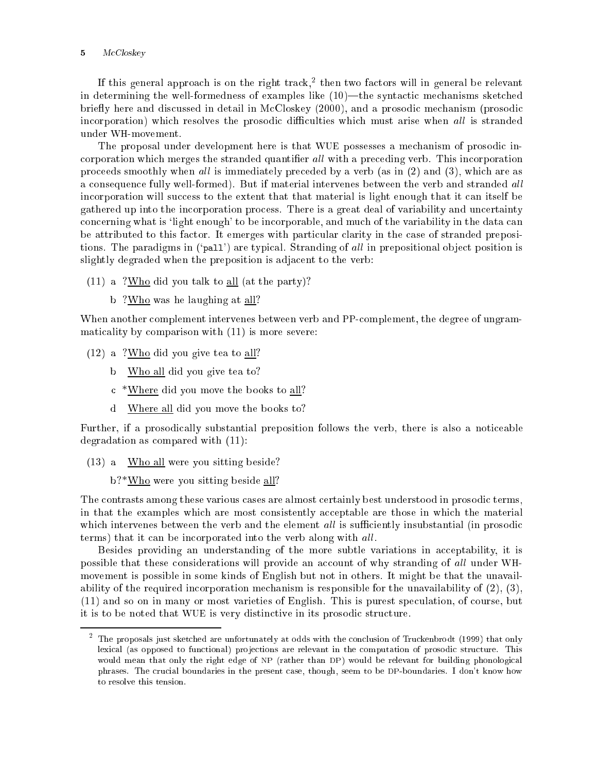#### <sup>5</sup> M
Closkey

It this general approach is on the right track," then two factors will in general be relevant in determining the well-formedness of examples like  $(10)$ —the syntactic mechanisms sketched briefly here and discussed in detail in McCloskey (2000), and a prosodic mechanism (prosodic incorporation) which resolves the prosodic difficulties which must arise when all is stranded under WH-movement.

The proposal under development here is that WUE possesses a me
hanism of prosodi in corporation which merges the stranded quantifier all with a preceding verb. This incorporation proceeds smoothly when all is immediately preceded by a verb (as in  $(2)$  and  $(3)$ , which are as a consequence fully well-formed). But if material intervenes between the verb and stranded all incorporation will success to the extent that that material is light enough that it can itself be gathered up into the in
orporation pro
ess. There is a great deal of variability and un
ertainty concerning what is 'light enough' to be incorporable, and much of the variability in the data can be attributed to this factor. It emerges with particular clarity in the case of stranded prepositions. The paradigms in ('pall') are typical. Stranding of all in prepositional object position is slightly degraded when the preposition is adja
ent to the verb:

- (11) a. ?Who did you talk to all (at the party)?
	- b. ?Who was he laughing at all?

When another complement intervenes between verb and PP-complement, the degree of ungrammaticality by comparison with  $(11)$  is more severe:

- (12) a. ?Who did you give tea to all?
	- $\mathbf b$ Who all did you give tea to?
	- . \*Where did you move the books to all?
	- d. Where all did you move the books to?

Further, if a prosodically substantial preposition follows the verb, there is also a noticeable degradation as ompared with (11):

- (13) a. Who all were you sitting beside?
	- b.<sup>2\*</sup>Who were you sitting beside all?

The contrasts among these various cases are almost certainly best understood in prosodic terms, in that the examples which are most consistently acceptable are those in which the material which intervenes between the verb and the element all is sufficiently insubstantial (in prosodic terms) that it can be incorporated into the verb along with all.

Besides providing an understanding of the more subtle variations in acceptability, it is possible that these considerations will provide an account of why stranding of all under WHmovement is possible in some kinds of English but not in others. It might be that the unavailability of the required incorporation mechanism is responsible for the unavailability of (2), (3). (11) and so on in many or most varieties of English. This is purest spe
ulation, of ourse, but it is to be noted that WUE is very distinctive in its prosodic structure.

the proposals just sketched are unfortunately at odds with the conclusion of Truckenbrodt (1999) that only lexical (as opposed to functional) projections are relevant in the computation of prosodic structure. This would mean that only the right edge of NP (rather than DP) would be relevant for building phonological phrases. The crucial boundaries in the present case, though, seem to be DP-boundaries. I don't know how to resolve this tension.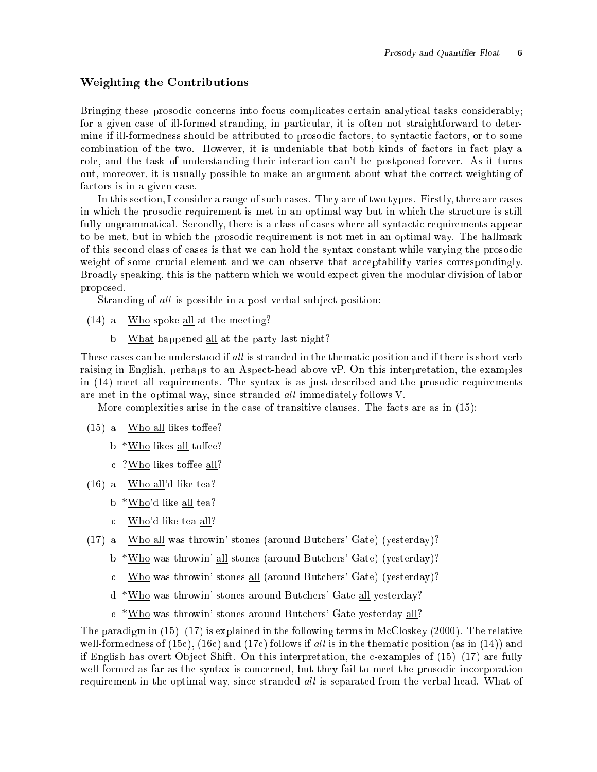### weighting the Contributions of the Contributions of the Contribution of the Contribution of the Contribution of the Contribution of the Contribution of the Contribution of the Contribution of the Contribution of the Contri

Bringing these prosodic concerns into focus complicates certain analytical tasks considerably; for a given case of ill-formed stranding, in particular, it is often not straightforward to determine if ill-formedness should be attributed to prosodic factors, to syntactic factors, or to some combination of the two. However, it is undeniable that both kinds of factors in fact play a role, and the task of understanding their interaction can't be postponed forever. As it turns out, moreover, it is usually possible to make an argument about what the correct weighting of factors is in a given case.

In this section, I consider a range of such cases. They are of two types. Firstly, there are cases in which the prosodic requirement is met in an optimal way but in which the structure is still fully ungrammatical. Secondly, there is a class of cases where all syntactic requirements appear to be met, but in which the prosodic requirement is not met in an optimal way. The hallmark of this se
ond lass of ases is that we an hold the syntax onstant while varying the prosodi weight of some crucial element and we can observe that acceptability varies correspondingly. Broadly speaking, this is the pattern which we would expect given the modular division of labor proposed.

Stranding of all is possible in a post-verbal subject position:

- (14) a. Who spoke all at the meeting?
	- b. What happened all at the party last night?

These cases can be understood if all is stranded in the thematic position and if there is short verb raising in English, perhaps to an Aspe
t-head above vP. On this interpretation, the examples in (14) meet all requirements. The syntax is as just described and the prosodic requirements are met in the optimal way, since stranded *all* immediately follows V.

More complexities arise in the case of transitive clauses. The facts are as in (15):

- $(15)$  a. Who all likes toffee?
	- b  $*$ Who likes all toffee?
	- c  $?$ Who likes toffee all?
- (16) a. Who all'd like tea?
	- b  $*$ Who'd like all tea?
	- . Who'd like tea all?
- (17) a. Who all was throwin' stones (around But
hers' Gate) (yesterday)?
	- b. \*Who was throwin' all stones (around But
	hers' Gate) (yesterday)?
	- . Who was throwin' stones all (around But
	hers' Gate) (yesterday)?
	- d. \*Who was throwin' stones around But
	hers' Gate all yesterday?
	- e. \*Who was throwin' stones around But
	hers' Gate yesterday all?

The paradigm in  $(15)-(17)$  is explained in the following terms in McCloskey (2000). The relative well-formedness of  $(15c)$ ,  $(16c)$  and  $(17c)$  follows if all is in the thematic position (as in  $(14)$ ) and if English has overt Object Shift. On this interpretation, the c-examples of  $(15)-(17)$  are fully well-formed as far as the syntax is concerned, but they fail to meet the prosodic incorporation requirement in the optimal way, since stranded all is separated from the verbal head. What of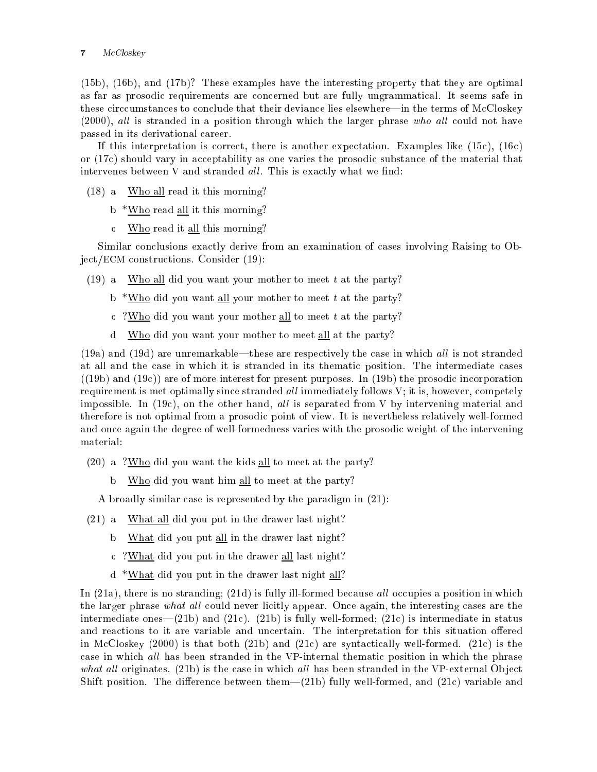# <sup>7</sup> M
Closkey

(15b), (16b), and (17b)? These examples have the interesting property that they are optimal as far as prosodic requirements are concerned but are fully ungrammatical. It seems safe in these circcumstances to conclude that their deviance lies elsewhere—in the terms of McCloskey  $(2000)$ , all is stranded in a position through which the larger phrase who all could not have passed in its derivational areer.

If this interpretation is correct, there is another expectation. Examples like (15c), (16c) or (17c) should vary in acceptability as one varies the prosodic substance of the material that intervenes between V and stranded all. This is exactly what we find:

- (18) a. Who all read it this morning?
	- b. \*Who read all it this morning?
	- . Who read it all this morning?

Similar conclusions exactly derive from an examination of cases involving Raising to Obje
t/ECM onstru
tions. Consider (19):

- $(19)$  a. Who all did you want your mother to meet t at the party?
	- $b$  \*Who did you want all your mother to meet t at the party?
	- . ?Who did you want your mother all to meet <sup>t</sup> at the party?
	- d. Who did you want your mother to meet all at the party?

 $(19a)$  and  $(19d)$  are unremarkable—these are respectively the case in which all is not stranded at all and the case in which it is stranded in its thematic position. The intermediate cases  $((19b)$  and  $(19c))$  are of more interest for present purposes. In  $(19b)$  the prosodic incorporation requirement is met optimally since stranded *all* immediately follows V; it is, however, competely impossible. In  $(19c)$ , on the other hand, all is separated from V by intervening material and therefore is not optimal from a prosodic point of view. It is nevertheless relatively well-formed and once again the degree of well-formedness varies with the prosodic weight of the intervening material:

- (20) a. ?Who did you want the kids all to meet at the party?
	- b. Who did you want him all to meet at the party?

A broadly similar case is represented by the paradigm in  $(21)$ :

- $(21)$  a. What all did you put in the drawer last night?
	- $\mathbf b$ What did you put all in the drawer last night?
	- . ?What did you put in the drawer all last night?
	- d. \*What did you put in the drawer last night all?

In  $(21a)$ , there is no stranding;  $(21d)$  is fully ill-formed because all occupies a position in which the larger phrase what all could never licitly appear. Once again, the interesting cases are the intermediate ones— $(21b)$  and  $(21c)$ .  $(21b)$  is fully well-formed;  $(21c)$  is intermediate in status and reactions to it are variable and uncertain. The interpretation for this situation offered in McCloskey  $(2000)$  is that both  $(21b)$  and  $(21c)$  are syntactically well-formed.  $(21c)$  is the case in which all has been stranded in the VP-internal thematic position in which the phrase what all originates. (21b) is the case in which all has been stranded in the VP-external Object Shift position. The difference between them— $(21b)$  fully well-formed, and  $(21c)$  variable and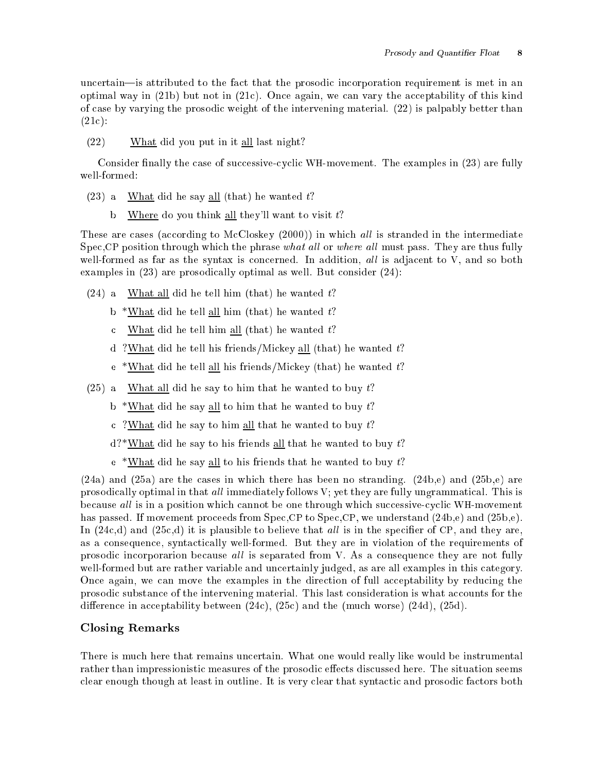uncertain—is attributed to the fact that the prosodic incorporation requirement is met in an optimal way in (21b) but not in (21
). On
e again, we an vary the a

eptability of this kind of ase by varying the prosodi weight of the intervening material. (22) is palpably better than  $(21c):$ 

(22) What did you put in it all last night?

Consider finally the case of successive-cyclic WH-movement. The examples in (23) are fully well-formed:

- $(23)$  a. What did he say all (that) he wanted t?
	- b. Where do you think all they'll want to visit  $t$ ?

These are cases (according to McCloskey  $(2000)$ ) in which all is stranded in the intermediate Spec, CP position through which the phrase what all or where all must pass. They are thus fully well-formed as far as the syntax is concerned. In addition, all is adjacent to V, and so both examples in (23) are prosodically optimal as well. But consider (24):

- $(24)$  a. What all did he tell him (that) he wanted t?
	- b. \*What did he tell all him (that) he wanted  $t$ ?
	- c What did he tell him all (that) he wanted  $t$ ?
	- d. ?What did he tell his friends/Mi
	key all (that) he wanted t?
	- $e$  \*What did he tell all his friends/Mickey (that) he wanted t?
- $(25)$  a. What all did he say to him that he wanted to buy t?
	- b. \*What did he say all to him that he wanted to buy  $t$ ?
	- c. ?What did he say to him all that he wanted to buy  $t$ ?
	- $d$ ?\*What did he say to his friends all that he wanted to buy t?
	- $e$ . \*What did he say all to his friends that he wanted to buy t?

 $(24a)$  and  $(25a)$  are the cases in which there has been no stranding.  $(24b,e)$  and  $(25b,e)$  are prosodically optimal in that all immediately follows V; yet they are fully ungrammatical. This is because all is in a position which cannot be one through which successive-cyclic WH-movement has passed. If movement proceeds from Spec, CP to Spec, CP, we understand  $(24b,e)$  and  $(25b,e)$ . In  $(24c,d)$  and  $(25c,d)$  it is plausible to believe that *all* is in the specifier of CP, and they are, as a consequence, syntactically well-formed. But they are in violation of the requirements of prosodic incorporarion because all is separated from V. As a consequence they are not fully well-formed but are rather variable and uncertainly judged, as are all examples in this category. Once again, we can move the examples in the direction of full acceptability by reducing the prosodic substance of the intervening material. This last consideration is what accounts for the difference in acceptability between  $(24c)$ ,  $(25c)$  and the (much worse)  $(24d)$ ,  $(25d)$ .

# Closing Remarks

There is much here that remains uncertain. What one would really like would be instrumental rather than impressionistic measures of the prosodic effects discussed here. The situation seems clear enough though at least in outline. It is very clear that syntactic and prosodic factors both